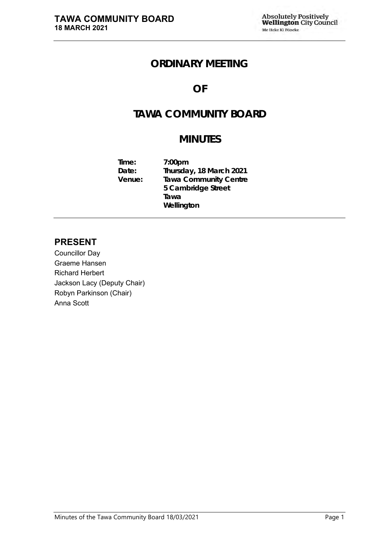# **ORDINARY MEETING**

## **OF**

# **TAWA COMMUNITY BOARD**

# **MINUTES**

| Time:  | 7:00 <sub>pm</sub>           |
|--------|------------------------------|
| Date:  | Thursday, 18 March 2021      |
| Venue: | <b>Tawa Community Centre</b> |
|        | 5 Cambridge Street           |
|        | Tawa                         |
|        | Wellington                   |

## **PRESENT**

Councillor Day Graeme Hansen Richard Herbert Jackson Lacy (Deputy Chair) Robyn Parkinson (Chair) Anna Scott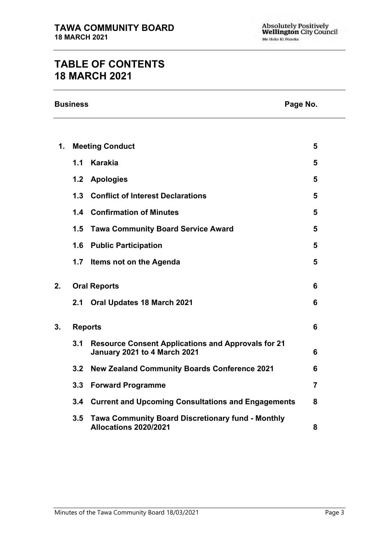# **TABLE OF CONTENTS 18 MARCH 2021**

| <b>Business</b> | Page No. |
|-----------------|----------|
|-----------------|----------|

| Page No. |  |
|----------|--|
|          |  |

| 1. | <b>Meeting Conduct</b> |                                                                                           | 5              |
|----|------------------------|-------------------------------------------------------------------------------------------|----------------|
|    | 1.1                    | <b>Karakia</b>                                                                            | 5              |
|    | 1.2                    | <b>Apologies</b>                                                                          | 5              |
|    | 1.3                    | <b>Conflict of Interest Declarations</b>                                                  | 5              |
|    |                        | <b>1.4 Confirmation of Minutes</b>                                                        | 5              |
|    | 1.5                    | <b>Tawa Community Board Service Award</b>                                                 | 5              |
|    | 1.6                    | <b>Public Participation</b>                                                               | 5              |
|    | 1.7                    | Items not on the Agenda                                                                   | 5              |
| 2. | <b>Oral Reports</b>    |                                                                                           | 6              |
|    | 2.1                    | <b>Oral Updates 18 March 2021</b>                                                         | 6              |
| 3. | <b>Reports</b>         |                                                                                           | 6              |
|    | 3.1                    | <b>Resource Consent Applications and Approvals for 21</b><br>January 2021 to 4 March 2021 | 6              |
|    | 3.2                    | <b>New Zealand Community Boards Conference 2021</b>                                       | 6              |
|    | 3.3                    | <b>Forward Programme</b>                                                                  | $\overline{7}$ |
|    |                        | 3.4 Current and Upcoming Consultations and Engagements                                    | 8              |
|    | 3.5                    | <b>Tawa Community Board Discretionary fund - Monthly</b><br>Allocations 2020/2021         | 8              |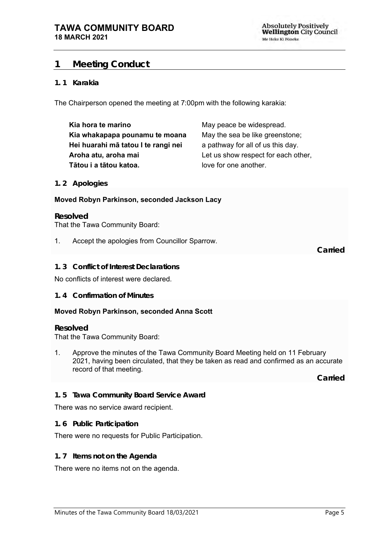## <span id="page-4-0"></span>**1 Meeting Conduct**

## **1. 1 Karakia**

The Chairperson opened the meeting at 7:00pm with the following karakia:

| Kia hora te marino                  | May peace be widespread.            |
|-------------------------------------|-------------------------------------|
| Kia whakapapa pounamu te moana      | May the sea be like greenstone;     |
| Hei huarahi mā tatou I te rangi nei | a pathway for all of us this day.   |
| Aroha atu, aroha mai                | Let us show respect for each other, |
| Tātou i a tātou katoa.              | love for one another.               |

#### <span id="page-4-1"></span>**1. 2 Apologies**

### **Moved Robyn Parkinson, seconded Jackson Lacy**

#### **Resolved** That the Tawa Community Board:

1. Accept the apologies from Councillor Sparrow.

**Carried**

## <span id="page-4-2"></span>**1. 3 Conflict of Interest Declarations**

No conflicts of interest were declared.

<span id="page-4-3"></span>**1. 4 Confirmation of Minutes**

### **Moved Robyn Parkinson, seconded Anna Scott**

#### **Resolved**

That the Tawa Community Board:

1. Approve the minutes of the Tawa Community Board Meeting held on 11 February 2021, having been circulated, that they be taken as read and confirmed as an accurate record of that meeting.

**Carried**

### <span id="page-4-4"></span>**1. 5 Tawa Community Board Service Award**

### There was no service award recipient.

<span id="page-4-5"></span>**1. 6 Public Participation**

There were no requests for Public Participation.

### <span id="page-4-6"></span>**1. 7 Items not on the Agenda**

There were no items not on the agenda.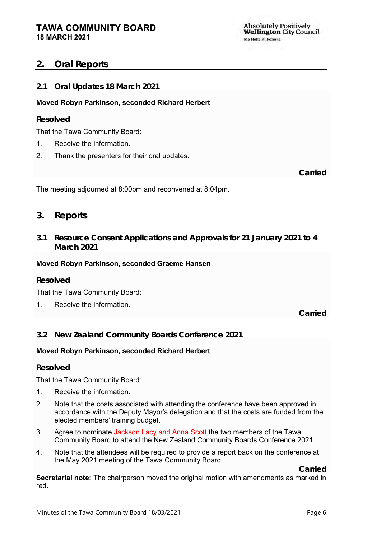## <span id="page-5-0"></span>**2. Oral Reports**

<span id="page-5-1"></span>**2.1 Oral Updates 18 March 2021**

## **Moved Robyn Parkinson, seconded Richard Herbert**

## **Resolved**

That the Tawa Community Board:

- 1. Receive the information.
- 2. Thank the presenters for their oral updates.

**Carried**

The meeting adjourned at 8:00pm and reconvened at 8:04pm.

## <span id="page-5-2"></span>**3. Reports**

<span id="page-5-3"></span>**3.1 Resource Consent Applications and Approvals for 21 January 2021 to 4 March 2021**

## **Moved Robyn Parkinson, seconded Graeme Hansen**

## **Resolved**

That the Tawa Community Board:

1. Receive the information.

**Carried**

<span id="page-5-4"></span>**3.2 New Zealand Community Boards Conference 2021**

## **Moved Robyn Parkinson, seconded Richard Herbert**

### **Resolved**

That the Tawa Community Board:

- 1. Receive the information.
- 2. Note that the costs associated with attending the conference have been approved in accordance with the Deputy Mayor's delegation and that the costs are funded from the elected members' training budget.
- 3. Agree to nominate Jackson Lacy and Anna Scott the two members of the Tawa Community Board to attend the New Zealand Community Boards Conference 2021.
- 4. Note that the attendees will be required to provide a report back on the conference at the May 2021 meeting of the Tawa Community Board.

**Carried**

**Secretarial note:** The chairperson moved the original motion with amendments as marked in red.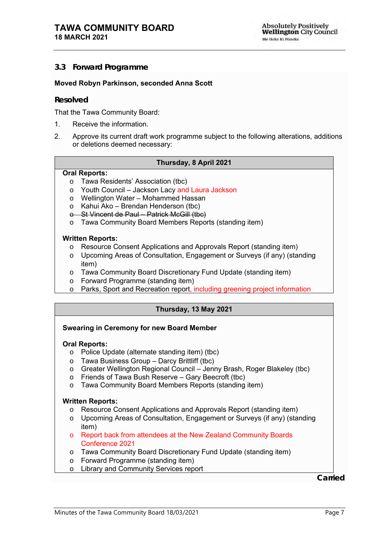## <span id="page-6-0"></span>**3.3 Forward Programme**

#### **Moved Robyn Parkinson, seconded Anna Scott**

#### **Resolved**

That the Tawa Community Board:

- 1. Receive the information.
- 2. Approve its current draft work programme subject to the following alterations, additions or deletions deemed necessary:

#### **Thursday, 8 April 2021**

#### **Oral Reports:**

- o Tawa Residents' Association (tbc)
- o Youth Council Jackson Lacy and Laura Jackson
- o Wellington Water Mohammed Hassan
- o Kahui Ako Brendan Henderson (tbc)
- o St Vincent de Paul Patrick McGill (tbc)
- o Tawa Community Board Members Reports (standing item)

#### **Written Reports:**

- o Resource Consent Applications and Approvals Report (standing item)
- o Upcoming Areas of Consultation, Engagement or Surveys (if any) (standing item)
- o Tawa Community Board Discretionary Fund Update (standing item)
- o Forward Programme (standing item)
- o Parks, Sport and Recreation report, including greening project information

### **Thursday, 13 May 2021**

### **Swearing in Ceremony for new Board Member**

#### **Oral Reports:**

- o Police Update (alternate standing item) (tbc)
- o Tawa Business Group Darcy Brittliff (tbc)
- o Greater Wellington Regional Council Jenny Brash, Roger Blakeley (tbc)
- o Friends of Tawa Bush Reserve Gary Beecroft (tbc)
- o Tawa Community Board Members Reports (standing item)

#### **Written Reports:**

- o Resource Consent Applications and Approvals Report (standing item)
- o Upcoming Areas of Consultation, Engagement or Surveys (if any) (standing item)
- o Report back from attendees at the New Zealand Community Boards Conference 2021
- o Tawa Community Board Discretionary Fund Update (standing item)
- o Forward Programme (standing item)
- o Library and Community Services report

**Carried**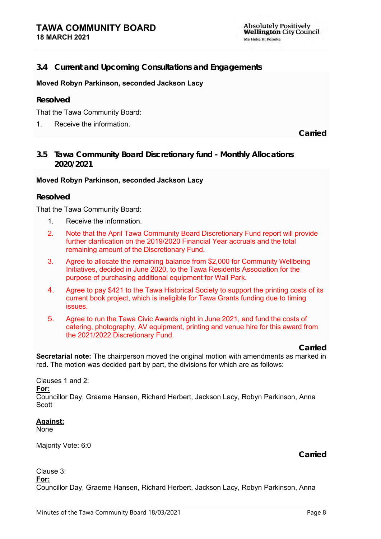## <span id="page-7-0"></span>**3.4 Current and Upcoming Consultations and Engagements**

### **Moved Robyn Parkinson, seconded Jackson Lacy**

#### **Resolved**

That the Tawa Community Board:

1. Receive the information.

**Carried**

<span id="page-7-1"></span>**3.5 Tawa Community Board Discretionary fund - Monthly Allocations 2020/2021**

#### **Moved Robyn Parkinson, seconded Jackson Lacy**

#### **Resolved**

That the Tawa Community Board:

- 1. Receive the information.
- 2. Note that the April Tawa Community Board Discretionary Fund report will provide further clarification on the 2019/2020 Financial Year accruals and the total remaining amount of the Discretionary Fund.
- 3. Agree to allocate the remaining balance from \$2,000 for Community Wellbeing Initiatives, decided in June 2020, to the Tawa Residents Association for the purpose of purchasing additional equipment for Wall Park.
- 4. Agree to pay \$421 to the Tawa Historical Society to support the printing costs of its current book project, which is ineligible for Tawa Grants funding due to timing issues.
- 5. Agree to run the Tawa Civic Awards night in June 2021, and fund the costs of catering, photography, AV equipment, printing and venue hire for this award from the 2021/2022 Discretionary Fund.

**Carried**

**Secretarial note:** The chairperson moved the original motion with amendments as marked in red. The motion was decided part by part, the divisions for which are as follows:

Clauses 1 and 2:

**For:**

Councillor Day, Graeme Hansen, Richard Herbert, Jackson Lacy, Robyn Parkinson, Anna **Scott** 

**Against:**

None

Majority Vote: 6:0

**Carried**

#### Clause 3: **For:**

Councillor Day, Graeme Hansen, Richard Herbert, Jackson Lacy, Robyn Parkinson, Anna